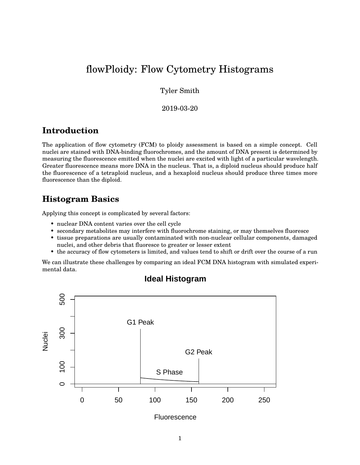# flowPloidy: Flow Cytometry Histograms

Tyler Smith

2019-03-20

### **Introduction**

The application of flow cytometry (FCM) to ploidy assessment is based on a simple concept. Cell nuclei are stained with DNA-binding fluorochromes, and the amount of DNA present is determined by measuring the fluorescence emitted when the nuclei are excited with light of a particular wavelength. Greater fluorescence means more DNA in the nucleus. That is, a diploid nucleus should produce half the fluorescence of a tetraploid nucleus, and a hexaploid nucleus should produce three times more fluorescence than the diploid.

## **Histogram Basics**

Applying this concept is complicated by several factors:

- nuclear DNA content varies over the cell cycle
- secondary metabolites may interfere with fluorochrome staining, or may themselves fluoresce
- tissue preparations are usually contaminated with non-nuclear cellular components, damaged nuclei, and other debris that fluoresce to greater or lesser extent
- the accuracy of flow cytometers is limited, and values tend to shift or drift over the course of a run

We can illustrate these challenges by comparing an ideal FCM DNA histogram with simulated experimental data.



### **Ideal Histogram**

**Fluorescence**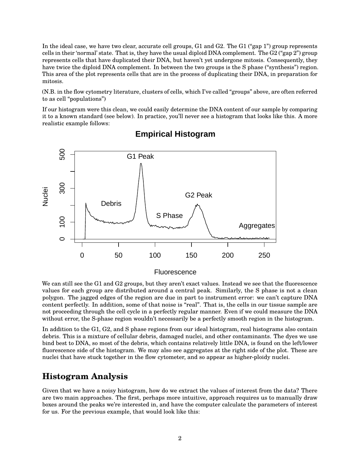In the ideal case, we have two clear, accurate cell groups, G1 and G2. The G1 ("gap 1") group represents cells in their 'normal' state. That is, they have the usual diploid DNA complement. The G2 ("gap 2") group represents cells that have duplicated their DNA, but haven't yet undergone mitosis. Consequently, they have twice the diploid DNA complement. In between the two groups is the S phase ("synthesis") region. This area of the plot represents cells that are in the process of duplicating their DNA, in preparation for mitosis.

(N.B. in the flow cytometry literature, clusters of cells, which I've called "groups" above, are often referred to as cell "populations")

If our histogram were this clean, we could easily determine the DNA content of our sample by comparing it to a known standard (see below). In practice, you'll never see a histogram that looks like this. A more realistic example follows:



### **Empirical Histogram**

#### **Fluorescence**

We can still see the G1 and G2 groups, but they aren't exact values. Instead we see that the fluorescence values for each group are distributed around a central peak. Similarly, the S phase is not a clean polygon. The jagged edges of the region are due in part to instrument error: we can't capture DNA content perfectly. In addition, some of that noise is "real". That is, the cells in our tissue sample are not proceeding through the cell cycle in a perfectly regular manner. Even if we could measure the DNA without error, the S-phase region wouldn't necessarily be a perfectly smooth region in the histogram.

In addition to the G1, G2, and S phase regions from our ideal histogram, real histograms also contain debris. This is a mixture of cellular debris, damaged nuclei, and other contaminants. The dyes we use bind best to DNA, so most of the debris, which contains relatively little DNA, is found on the left/lower fluorescence side of the histogram. We may also see aggregates at the right side of the plot. These are nuclei that have stuck together in the flow cytometer, and so appear as higher-ploidy nuclei.

## **Histogram Analysis**

Given that we have a noisy histogram, how do we extract the values of interest from the data? There are two main approaches. The first, perhaps more intuitive, approach requires us to manually draw boxes around the peaks we're interested in, and have the computer calculate the parameters of interest for us. For the previous example, that would look like this: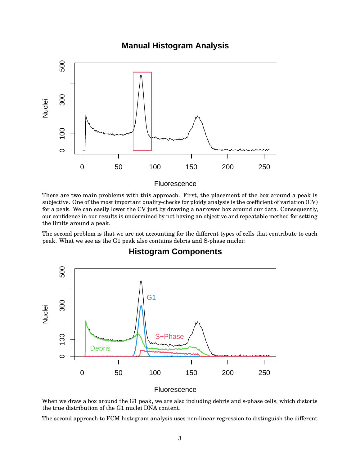### **Manual Histogram Analysis**



#### **Fluorescence**

There are two main problems with this approach. First, the placement of the box around a peak is subjective. One of the most important quality-checks for ploidy analysis is the coefficient of variation (CV) for a peak. We can easily lower the CV just by drawing a narrower box around our data. Consequently, our confidence in our results is undermined by not having an objective and repeatable method for setting the limits around a peak.

The second problem is that we are not accounting for the different types of cells that contribute to each peak. What we see as the G1 peak also contains debris and S-phase nuclei:



### **Histogram Components**

**Fluorescence** 

When we draw a box around the G1 peak, we are also including debris and s-phase cells, which distorts the true distribution of the G1 nuclei DNA content.

The second approach to FCM histogram analysis uses non-linear regression to distinguish the different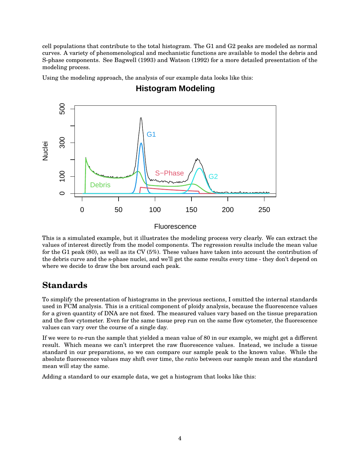cell populations that contribute to the total histogram. The G1 and G2 peaks are modeled as normal curves. A variety of phenomenological and mechanistic functions are available to model the debris and S-phase components. See Bagwell (1993) and Watson (1992) for a more detailed presentation of the modeling process.

Using the modeling approach, the analysis of our example data looks like this:



## **Histogram Modeling**

#### **Fluorescence**

This is a simulated example, but it illustrates the modeling process very clearly. We can extract the values of interest directly from the model components. The regression results include the mean value for the G1 peak (80), as well as its CV (5%). These values have taken into account the contribution of the debris curve and the s-phase nuclei, and we'll get the same results every time - they don't depend on where we decide to draw the box around each peak.

## **Standards**

To simplify the presentation of histograms in the previous sections, I omitted the internal standards used in FCM analysis. This is a critical component of ploidy analysis, because the fluorescence values for a given quantity of DNA are not fixed. The measured values vary based on the tissue preparation and the flow cytometer. Even for the same tissue prep run on the same flow cytometer, the fluorescence values can vary over the course of a single day.

If we were to re-run the sample that yielded a mean value of 80 in our example, we might get a different result. Which means we can't interpret the raw fluorescence values. Instead, we include a tissue standard in our preparations, so we can compare our sample peak to the known value. While the absolute fluorescence values may shift over time, the *ratio* between our sample mean and the standard mean will stay the same.

Adding a standard to our example data, we get a histogram that looks like this: